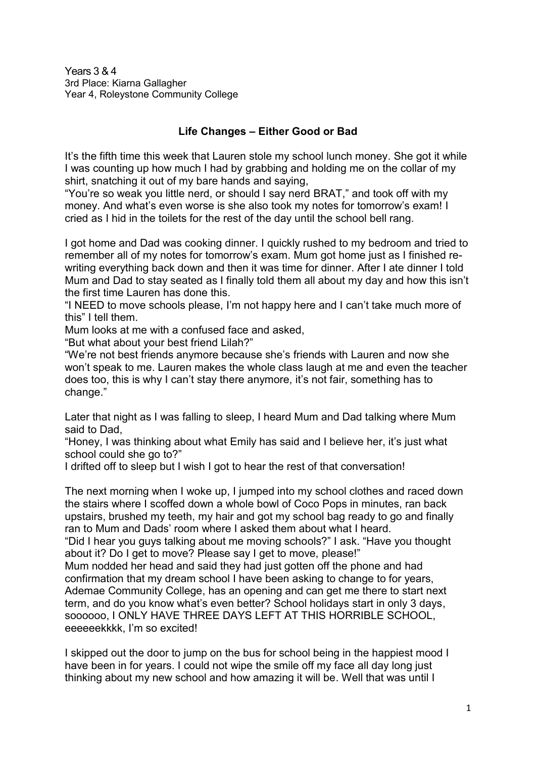Years 3 & 4 3rd Place: Kiarna Gallagher Year 4, Roleystone Community College

## **Life Changes – Either Good or Bad**

It's the fifth time this week that Lauren stole my school lunch money. She got it while I was counting up how much I had by grabbing and holding me on the collar of my shirt, snatching it out of my bare hands and saying,

"You're so weak you little nerd, or should I say nerd BRAT," and took off with my money. And what's even worse is she also took my notes for tomorrow's exam! I cried as I hid in the toilets for the rest of the day until the school bell rang.

I got home and Dad was cooking dinner. I quickly rushed to my bedroom and tried to remember all of my notes for tomorrow's exam. Mum got home just as I finished rewriting everything back down and then it was time for dinner. After I ate dinner I told Mum and Dad to stay seated as I finally told them all about my day and how this isn't the first time Lauren has done this.

"I NEED to move schools please, I'm not happy here and I can't take much more of this" I tell them.

Mum looks at me with a confused face and asked,

"But what about your best friend Lilah?"

"We're not best friends anymore because she's friends with Lauren and now she won't speak to me. Lauren makes the whole class laugh at me and even the teacher does too, this is why I can't stay there anymore, it's not fair, something has to change."

Later that night as I was falling to sleep, I heard Mum and Dad talking where Mum said to Dad,

"Honey, I was thinking about what Emily has said and I believe her, it's just what school could she go to?"

I drifted off to sleep but I wish I got to hear the rest of that conversation!

The next morning when I woke up, I jumped into my school clothes and raced down the stairs where I scoffed down a whole bowl of Coco Pops in minutes, ran back upstairs, brushed my teeth, my hair and got my school bag ready to go and finally ran to Mum and Dads' room where I asked them about what I heard.

"Did I hear you guys talking about me moving schools?" I ask. "Have you thought about it? Do I get to move? Please say I get to move, please!"

Mum nodded her head and said they had just gotten off the phone and had confirmation that my dream school I have been asking to change to for years, Ademae Community College, has an opening and can get me there to start next term, and do you know what's even better? School holidays start in only 3 days, soooooo, I ONLY HAVE THREE DAYS LEFT AT THIS HORRIBLE SCHOOL, eeeeeekkkk, I'm so excited!

I skipped out the door to jump on the bus for school being in the happiest mood I have been in for years. I could not wipe the smile off my face all day long just thinking about my new school and how amazing it will be. Well that was until I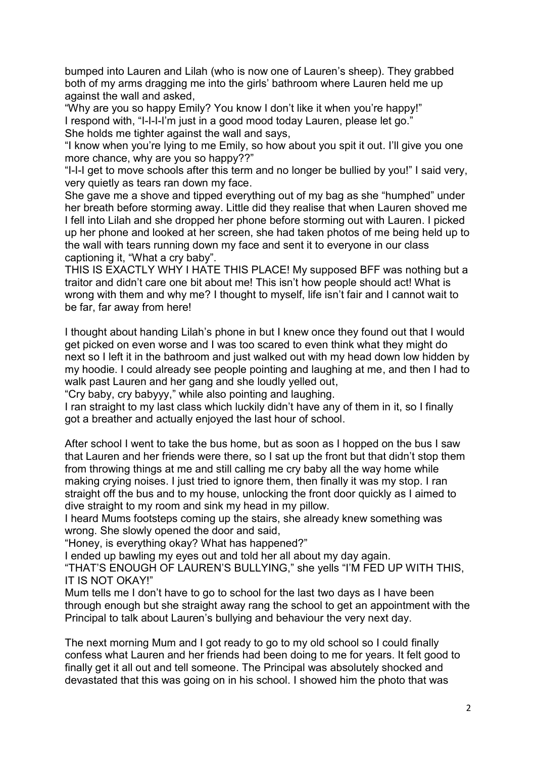bumped into Lauren and Lilah (who is now one of Lauren's sheep). They grabbed both of my arms dragging me into the girls' bathroom where Lauren held me up against the wall and asked,

"Why are you so happy Emily? You know I don't like it when you're happy!" I respond with, "I-I-I-I'm just in a good mood today Lauren, please let go." She holds me tighter against the wall and says,

"I know when you're lying to me Emily, so how about you spit it out. I'll give you one more chance, why are you so happy??"

"I-I-I get to move schools after this term and no longer be bullied by you!" I said very, very quietly as tears ran down my face.

She gave me a shove and tipped everything out of my bag as she "humphed" under her breath before storming away. Little did they realise that when Lauren shoved me I fell into Lilah and she dropped her phone before storming out with Lauren. I picked up her phone and looked at her screen, she had taken photos of me being held up to the wall with tears running down my face and sent it to everyone in our class captioning it, "What a cry baby".

THIS IS EXACTLY WHY I HATE THIS PLACE! My supposed BFF was nothing but a traitor and didn't care one bit about me! This isn't how people should act! What is wrong with them and why me? I thought to myself, life isn't fair and I cannot wait to be far, far away from here!

I thought about handing Lilah's phone in but I knew once they found out that I would get picked on even worse and I was too scared to even think what they might do next so I left it in the bathroom and just walked out with my head down low hidden by my hoodie. I could already see people pointing and laughing at me, and then I had to walk past Lauren and her gang and she loudly yelled out,

"Cry baby, cry babyyy," while also pointing and laughing.

I ran straight to my last class which luckily didn't have any of them in it, so I finally got a breather and actually enjoyed the last hour of school.

After school I went to take the bus home, but as soon as I hopped on the bus I saw that Lauren and her friends were there, so I sat up the front but that didn't stop them from throwing things at me and still calling me cry baby all the way home while making crying noises. I just tried to ignore them, then finally it was my stop. I ran straight off the bus and to my house, unlocking the front door quickly as I aimed to dive straight to my room and sink my head in my pillow.

I heard Mums footsteps coming up the stairs, she already knew something was wrong. She slowly opened the door and said,

"Honey, is everything okay? What has happened?"

I ended up bawling my eyes out and told her all about my day again.

"THAT'S ENOUGH OF LAUREN'S BULLYING," she yells "I'M FED UP WITH THIS, IT IS NOT OKAY!"

Mum tells me I don't have to go to school for the last two days as I have been through enough but she straight away rang the school to get an appointment with the Principal to talk about Lauren's bullying and behaviour the very next day.

The next morning Mum and I got ready to go to my old school so I could finally confess what Lauren and her friends had been doing to me for years. It felt good to finally get it all out and tell someone. The Principal was absolutely shocked and devastated that this was going on in his school. I showed him the photo that was